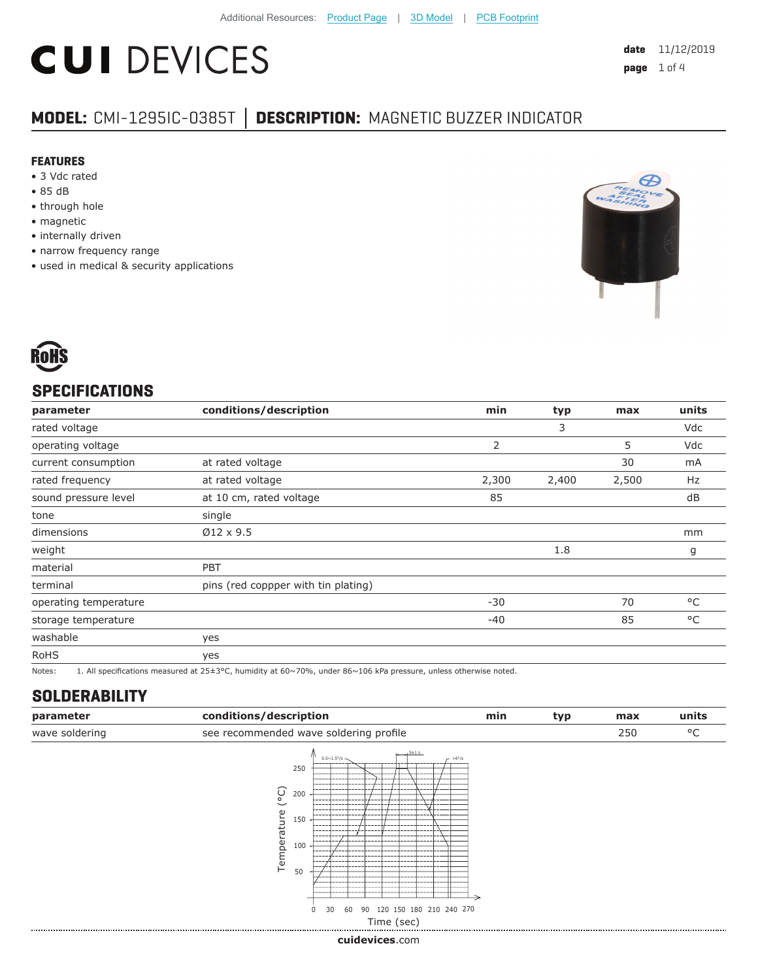# **CUI DEVICES**

### **MODEL:** CMI-1295IC-0385T **│ DESCRIPTION:** MAGNETIC BUZZER INDICATOR

#### **FEATURES**

- 3 Vdc rated
- 85 dB
- through hole
- magnetic
- internally driven
- narrow frequency range
- used in medical & security applications





#### **SPECIFICATIONS**

| parameter             | conditions/description                                                                                           | min   | typ   | max   | units |
|-----------------------|------------------------------------------------------------------------------------------------------------------|-------|-------|-------|-------|
| rated voltage         |                                                                                                                  |       | 3     |       | Vdc   |
| operating voltage     |                                                                                                                  | 2     |       | 5     | Vdc   |
| current consumption   | at rated voltage                                                                                                 |       |       | 30    | mA    |
| rated frequency       | at rated voltage                                                                                                 | 2,300 | 2,400 | 2,500 | Hz    |
| sound pressure level  | at 10 cm, rated voltage                                                                                          | 85    |       |       | dB    |
| tone                  | single                                                                                                           |       |       |       |       |
| dimensions            | $Ø12 \times 9.5$                                                                                                 |       |       |       | mm    |
| weight                |                                                                                                                  |       | 1.8   |       | g     |
| material              | <b>PBT</b>                                                                                                       |       |       |       |       |
| terminal              | pins (red coppper with tin plating)                                                                              |       |       |       |       |
| operating temperature |                                                                                                                  | $-30$ |       | 70    | °C    |
| storage temperature   |                                                                                                                  | $-40$ |       | 85    | °C    |
| washable              | yes                                                                                                              |       |       |       |       |
| <b>RoHS</b>           | yes                                                                                                              |       |       |       |       |
| Notes:                | 1. All specifications measured at 25±3°C, humidity at 60~70%, under 86~106 kPa pressure, unless otherwise noted. |       |       |       |       |

#### **SOLDERABILITY**

| parameter      | conditions/description                                                                                                                                                                                 |                   | min | typ | max | units |
|----------------|--------------------------------------------------------------------------------------------------------------------------------------------------------------------------------------------------------|-------------------|-----|-----|-----|-------|
| wave soldering | see recommended wave soldering profile                                                                                                                                                                 |                   |     |     | 250 | °C    |
|                | $5 \pm 1$ s<br>$0.5 \sim 1.5^{\circ}/s$ -<br>250<br>ၟ<br>200<br>----<br>iture<br>150<br>---<br>----<br>Tempera<br>---<br>100<br>50<br>90 120 150 180 210 240 270<br>30<br>60<br>$\Omega$<br>Time (sec) | $-$ >6°/s<br>---- |     |     |     |       |

**cui[devices](https://www.cuidevices.com/track?actionLabel=Datasheet-ClickThrough-HomePage&label=CMI-1295IC-0385T.pdf&path=/)**.com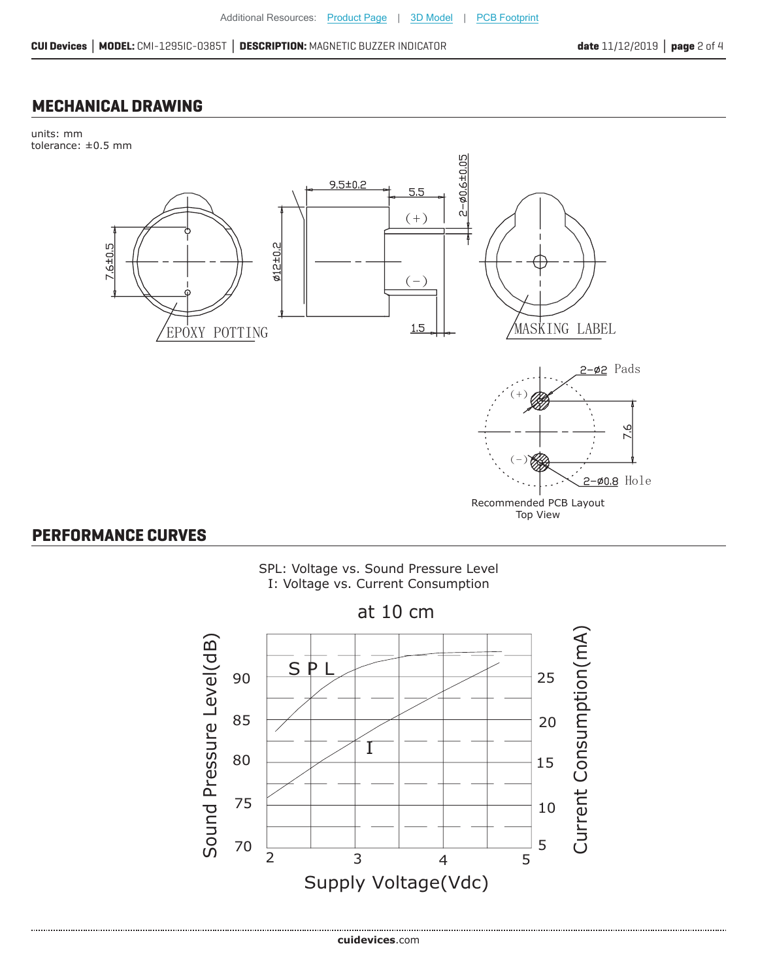#### **MECHANICAL DRAWING**

units: mm tolerance: ±0.5 mm



#### **PERFORMANCE CURVES**



at 10 cm

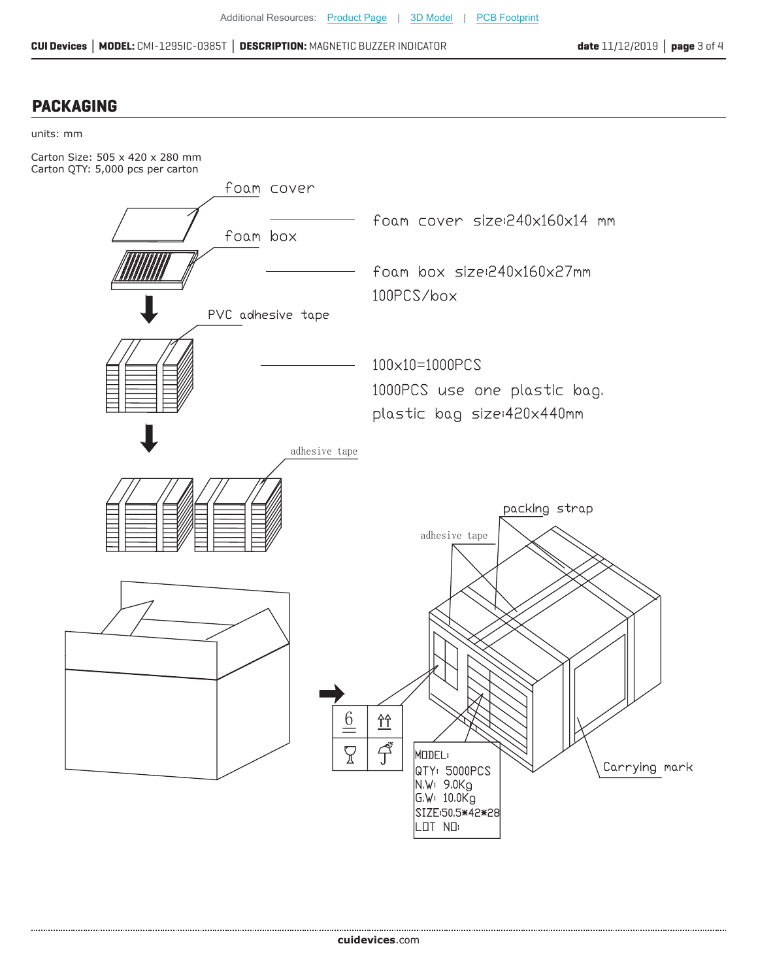**CUI Devices │ MODEL:** CMI-1295IC-0385T **│ DESCRIPTION:** MAGNETIC BUZZER INDICATOR **date** 11/12/2019 **│ page** 3 of 4

#### **PACKAGING**